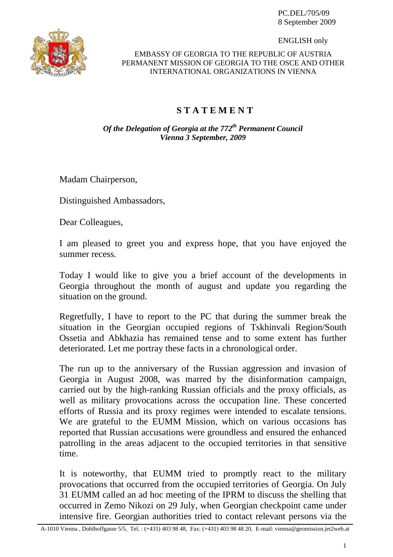PC.DEL/705/09 8 September 2009



ENGLISH only

## EMBASSY OF GEORGIA TO THE REPUBLIC OF AUSTRIA PERMANENT MISSION OF GEORGIA TO THE OSCE AND OTHER INTERNATIONAL ORGANIZATIONS IN VIENNA

## **S T A T E M E N T**

*Of the Delegation of Georgia at the 772<sup>th</sup> Permanent Council Vienna 3 September, 2009* 

Madam Chairperson,

Distinguished Ambassadors,

Dear Colleagues,

I am pleased to greet you and express hope, that you have enjoyed the summer recess.

Today I would like to give you a brief account of the developments in Georgia throughout the month of august and update you regarding the situation on the ground.

Regretfully, I have to report to the PC that during the summer break the situation in the Georgian occupied regions of Tskhinvali Region/South Ossetia and Abkhazia has remained tense and to some extent has further deteriorated. Let me portray these facts in a chronological order.

The run up to the anniversary of the Russian aggression and invasion of Georgia in August 2008, was marred by the disinformation campaign, carried out by the high-ranking Russian officials and the proxy officials, as well as military provocations across the occupation line. These concerted efforts of Russia and its proxy regimes were intended to escalate tensions. We are grateful to the EUMM Mission, which on various occasions has reported that Russian accusations were groundless and ensured the enhanced patrolling in the areas adjacent to the occupied territories in that sensitive time.

It is noteworthy, that EUMM tried to promptly react to the military provocations that occurred from the occupied territories of Georgia. On July 31 EUMM called an ad hoc meeting of the IPRM to discuss the shelling that occurred in Zemo Nikozi on 29 July, when Georgian checkpoint came under intensive fire. Georgian authorities tried to contact relevant persons via the

A-1010 Vienna , Doblhoffgasse 5/5, Tel. : (+431) 403 98 48, Fax: (+431) 403 98 48 20, E-mail: vienna@geomission.jet2web.at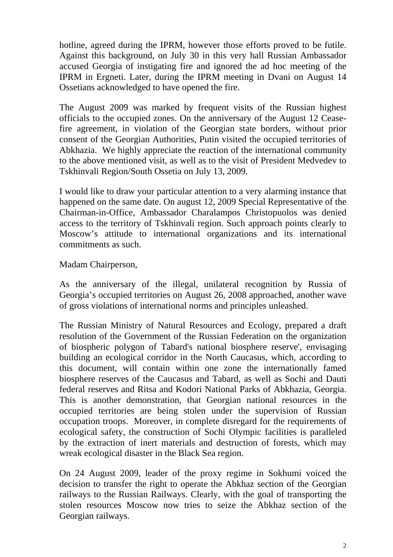hotline, agreed during the IPRM, however those efforts proved to be futile. Against this background, on July 30 in this very hall Russian Ambassador accused Georgia of instigating fire and ignored the ad hoc meeting of the IPRM in Ergneti. Later, during the IPRM meeting in Dvani on August 14 Ossetians acknowledged to have opened the fire.

The August 2009 was marked by frequent visits of the Russian highest officials to the occupied zones. On the anniversary of the August 12 Ceasefire agreement, in violation of the Georgian state borders, without prior consent of the Georgian Authorities, Putin visited the occupied territories of Abkhazia. We highly appreciate the reaction of the international community to the above mentioned visit, as well as to the visit of President Medvedev to Tskhinvali Region/South Ossetia on July 13, 2009.

I would like to draw your particular attention to a very alarming instance that happened on the same date. On august 12, 2009 Special Representative of the Chairman-in-Office, Ambassador Charalampos Christopuolos was denied access to the territory of Tskhinvali region. Such approach points clearly to Moscow's attitude to international organizations and its international commitments as such.

Madam Chairperson,

As the anniversary of the illegal, unilateral recognition by Russia of Georgia's occupied territories on August 26, 2008 approached, another wave of gross violations of international norms and principles unleashed.

The Russian Ministry of Natural Resources and Ecology, prepared a draft resolution of the Government of the Russian Federation on the organization of biospheric polygon of Tabard's national biosphere reserve', envisaging building an ecological corridor in the North Caucasus, which, according to this document, will contain within one zone the internationally famed biosphere reserves of the Caucasus and Tabard, as well as Sochi and Dauti federal reserves and Ritsa and Kodori National Parks of Abkhazia, Georgia. This is another demonstration, that Georgian national resources in the occupied territories are being stolen under the supervision of Russian occupation troops. Moreover, in complete disregard for the requirements of ecological safety, the construction of Sochi Olympic facilities is paralleled by the extraction of inert materials and destruction of forests, which may wreak ecological disaster in the Black Sea region.

On 24 August 2009, leader of the proxy regime in Sokhumi voiced the decision to transfer the right to operate the Abkhaz section of the Georgian railways to the Russian Railways. Clearly, with the goal of transporting the stolen resources Moscow now tries to seize the Abkhaz section of the Georgian railways.